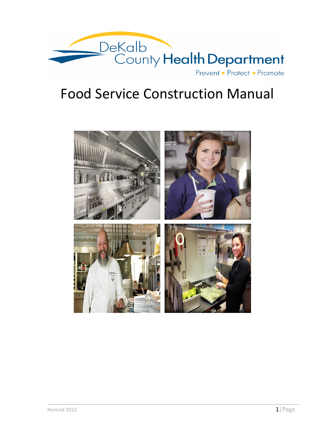

# Food Service Construction Manual

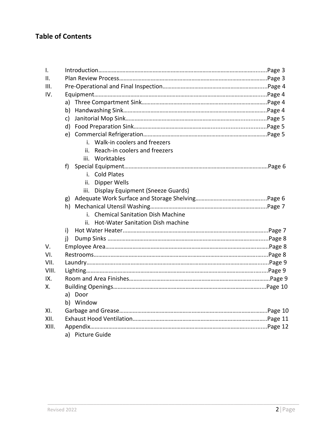## **Table of Contents**

| $\mathbf{I}$ . |                                        |  |
|----------------|----------------------------------------|--|
| ΙΙ.            |                                        |  |
| III.           |                                        |  |
| IV.            |                                        |  |
|                |                                        |  |
|                | b)                                     |  |
|                | c)                                     |  |
|                |                                        |  |
|                |                                        |  |
|                | i. Walk-in coolers and freezers        |  |
|                | Reach-in coolers and freezers<br>ii.   |  |
|                | iii. Worktables                        |  |
|                | f)                                     |  |
|                | i. Cold Plates                         |  |
|                | ii. Dipper Wells                       |  |
|                | iii. Display Equipment (Sneeze Guards) |  |
|                | g)                                     |  |
|                |                                        |  |
|                | i. Chemical Sanitation Dish Machine    |  |
|                | ii. Hot-Water Sanitation Dish machine  |  |
|                | i).                                    |  |
|                | i)                                     |  |
| V.             |                                        |  |
| VI.            |                                        |  |
| VII.           |                                        |  |
| VIII.          |                                        |  |
| IX.            |                                        |  |
| Х.             |                                        |  |
|                | a) Door                                |  |
|                | b) Window                              |  |
| XI.            |                                        |  |
| XII.           |                                        |  |
| XIII.          |                                        |  |
|                | a) Picture Guide                       |  |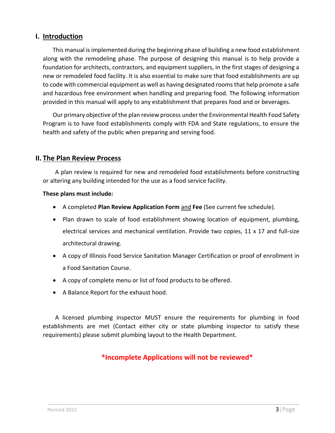## **I. Introduction**

This manual is implemented during the beginning phase of building a new food establishment along with the remodeling phase. The purpose of designing this manual is to help provide a foundation for architects, contractors, and equipment suppliers, in the first stages of designing a new or remodeled food facility. It is also essential to make sure that food establishments are up to code with commercial equipment as well as having designated rooms that help promote a safe and hazardous free environment when handling and preparing food. The following information provided in this manual will apply to any establishment that prepares food and or beverages.

Our primary objective of the plan review process under the Environmental Health Food Safety Program is to have food establishments comply with FDA and State regulations, to ensure the health and safety of the public when preparing and serving food.

## **II. The Plan Review Process**

A plan review is required for new and remodeled food establishments before constructing or altering any building intended for the use as a food service facility.

#### **These plans must include:**

- A completed **Plan Review Application Form** and **Fee** (See current fee schedule).
- Plan drawn to scale of food establishment showing location of equipment, plumbing, electrical services and mechanical ventilation. Provide two copies, 11 x 17 and full-size architectural drawing.
- A copy of Illinois Food Service Sanitation Manager Certification or proof of enrollment in a Food Sanitation Course.
- A copy of complete menu or list of food products to be offered.
- A Balance Report for the exhaust hood.

A licensed plumbing inspector MUST ensure the requirements for plumbing in food establishments are met (Contact either city or state plumbing inspector to satisfy these requirements) please submit plumbing layout to the Health Department.

## **\*Incomplete Applications will not be reviewed\***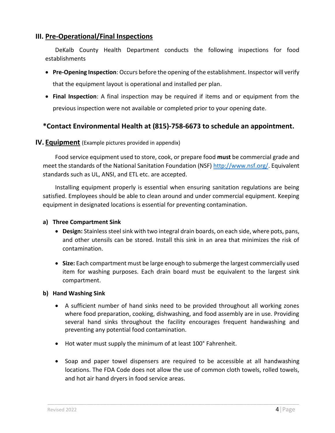## **III. Pre-Operational/Final Inspections**

DeKalb County Health Department conducts the following inspections for food establishments

- **Pre-Opening Inspection**: Occurs before the opening of the establishment. Inspector will verify that the equipment layout is operational and installed per plan.
- **Final Inspection**: A final inspection may be required if items and or equipment from the previous inspection were not available or completed prior to your opening date.

## **\*Contact Environmental Health at (815)-758-6673 to schedule an appointment.**

## **IV. Equipment** (Example pictures provided in appendix)

Food service equipment used to store, cook, or prepare food **must** be commercial grade and meet the standards of the National Sanitation Foundation (NSF) [http://www.nsf.org/.](http://www.nsf.org/) Equivalent standards such as UL, ANSI, and ETL etc. are accepted.

Installing equipment properly is essential when ensuring sanitation regulations are being satisfied. Employees should be able to clean around and under commercial equipment. Keeping equipment in designated locations is essential for preventing contamination.

#### **a) Three Compartment Sink**

- **Design:** Stainless steel sink with two integral drain boards, on each side, where pots, pans, and other utensils can be stored. Install this sink in an area that minimizes the risk of contamination.
- **Size:** Each compartment must be large enough to submerge the largest commercially used item for washing purposes. Each drain board must be equivalent to the largest sink compartment.

#### **b) Hand Washing Sink**

- A sufficient number of hand sinks need to be provided throughout all working zones where food preparation, cooking, dishwashing, and food assembly are in use. Providing several hand sinks throughout the facility encourages frequent handwashing and preventing any potential food contamination.
- Hot water must supply the minimum of at least 100° Fahrenheit.
- Soap and paper towel dispensers are required to be accessible at all handwashing locations. The FDA Code does not allow the use of common cloth towels, rolled towels, and hot air hand dryers in food service areas.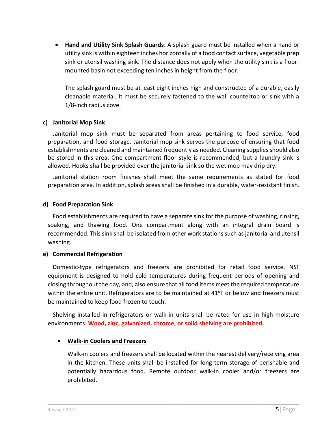• **Hand and Utility Sink Splash Guards**: A splash guard must be installed when a hand or utility sink is within eighteen inches horizontally of a food contact surface, vegetable prep sink or utensil washing sink. The distance does not apply when the utility sink is a floormounted basin not exceeding ten inches in height from the floor.

The splash guard must be at least eight inches high and constructed of a durable, easily cleanable material. It must be securely fastened to the wall countertop or sink with a 1/8-inch radius cove.

#### **c) Janitorial Mop Sink**

Janitorial mop sink must be separated from areas pertaining to food service, food preparation, and food storage. Janitorial mop sink serves the purpose of ensuring that food establishments are cleaned and maintained frequently as needed. Cleaning supplies should also be stored in this area. One compartment floor style is recommended, but a laundry sink is allowed. Hooks shall be provided over the janitorial sink so the wet mop may drip dry.

Janitorial station room finishes shall meet the same requirements as stated for food preparation area. In addition, splash areas shall be finished in a durable, water-resistant finish.

#### **d) Food Preparation Sink**

Food establishments are required to have a separate sink for the purpose of washing, rinsing, soaking, and thawing food. One compartment along with an integral drain board is recommended. This sink shall be isolated from other work stations such as janitorial and utensil washing.

#### **e) Commercial Refrigeration**

Domestic-type refrigerators and freezers are prohibited for retail food service. NSF equipment is designed to hold cold temperatures during frequent periods of opening and closing throughout the day, and, also ensure that all food items meet the required temperature within the entire unit. Refrigerators are to be maintained at 41°F or below and freezers must be maintained to keep food frozen to touch.

Shelving installed in refrigerators or walk-in units shall be rated for use in high moisture environments. **Wood, zinc, galvanized, chrome, or solid shelving are prohibited.**

\_\_\_\_\_\_\_\_\_\_\_\_\_\_\_\_\_\_\_\_\_\_\_\_\_\_\_\_\_\_\_\_\_\_\_\_\_\_\_\_\_\_\_\_\_\_\_\_\_\_\_\_\_\_\_\_\_\_\_\_\_\_\_\_\_\_\_\_\_\_\_\_\_\_\_\_\_

#### • **Walk-in Coolers and Freezers**

Walk-in coolers and freezers shall be located within the nearest delivery/receiving area in the kitchen. These units shall be installed for long-term storage of perishable and potentially hazardous food. Remote outdoor walk-in cooler and/or freezers are prohibited.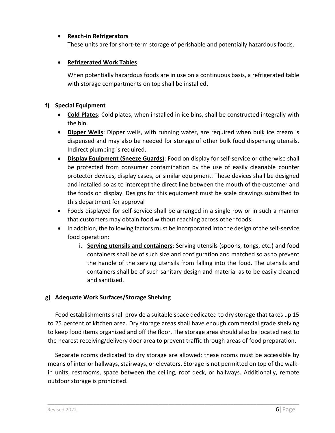## • **Reach-in Refrigerators**

These units are for short-term storage of perishable and potentially hazardous foods.

## • **Refrigerated Work Tables**

When potentially hazardous foods are in use on a continuous basis, a refrigerated table with storage compartments on top shall be installed.

## **f) Special Equipment**

- **Cold Plates**: Cold plates, when installed in ice bins, shall be constructed integrally with the bin.
- **Dipper Wells**: Dipper wells, with running water, are required when bulk ice cream is dispensed and may also be needed for storage of other bulk food dispensing utensils. Indirect plumbing is required.
- **Display Equipment (Sneeze Guards)**: Food on display for self-service or otherwise shall be protected from consumer contamination by the use of easily cleanable counter protector devices, display cases, or similar equipment. These devices shall be designed and installed so as to intercept the direct line between the mouth of the customer and the foods on display. Designs for this equipment must be scale drawings submitted to this department for approval
- Foods displayed for self-service shall be arranged in a single row or in such a manner that customers may obtain food without reaching across other foods.
- In addition, the following factors must be incorporated into the design of the self-service food operation:
	- i. **Serving utensils and containers**: Serving utensils (spoons, tongs, etc.) and food containers shall be of such size and configuration and matched so as to prevent the handle of the serving utensils from falling into the food. The utensils and containers shall be of such sanitary design and material as to be easily cleaned and sanitized.

## **g) Adequate Work Surfaces/Storage Shelving**

Food establishments shall provide a suitable space dedicated to dry storage that takes up 15 to 25 percent of kitchen area. Dry storage areas shall have enough commercial grade shelving to keep food items organized and off the floor. The storage area should also be located next to the nearest receiving/delivery door area to prevent traffic through areas of food preparation.

Separate rooms dedicated to dry storage are allowed; these rooms must be accessible by means of interior hallways, stairways, or elevators. Storage is not permitted on top of the walkin units, restrooms, space between the ceiling, roof deck, or hallways. Additionally, remote outdoor storage is prohibited.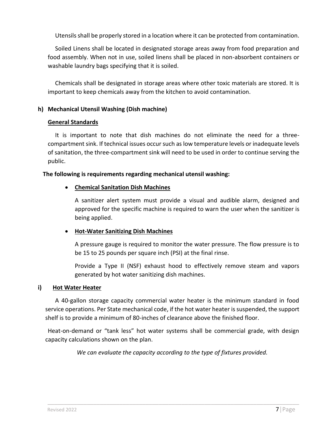Utensils shall be properly stored in a location where it can be protected from contamination.

Soiled Linens shall be located in designated storage areas away from food preparation and food assembly. When not in use, soiled linens shall be placed in non-absorbent containers or washable laundry bags specifying that it is soiled.

Chemicals shall be designated in storage areas where other toxic materials are stored. It is important to keep chemicals away from the kitchen to avoid contamination.

#### **h) Mechanical Utensil Washing (Dish machine)**

#### **General Standards**

It is important to note that dish machines do not eliminate the need for a threecompartment sink. If technical issues occur such as low temperature levels or inadequate levels of sanitation, the three-compartment sink will need to be used in order to continue serving the public.

#### **The following is requirements regarding mechanical utensil washing:**

#### • **Chemical Sanitation Dish Machines**

A sanitizer alert system must provide a visual and audible alarm, designed and approved for the specific machine is required to warn the user when the sanitizer is being applied.

## • **Hot-Water Sanitizing Dish Machines**

A pressure gauge is required to monitor the water pressure. The flow pressure is to be 15 to 25 pounds per square inch (PSI) at the final rinse.

Provide a Type II (NSF) exhaust hood to effectively remove steam and vapors generated by hot water sanitizing dish machines.

#### **i) Hot Water Heater**

A 40-gallon storage capacity commercial water heater is the minimum standard in food service operations. Per State mechanical code, if the hot water heater is suspended, the support shelf is to provide a minimum of 80-inches of clearance above the finished floor.

Heat-on-demand or "tank less" hot water systems shall be commercial grade, with design capacity calculations shown on the plan.

*We can evaluate the capacity according to the type of fixtures provided.*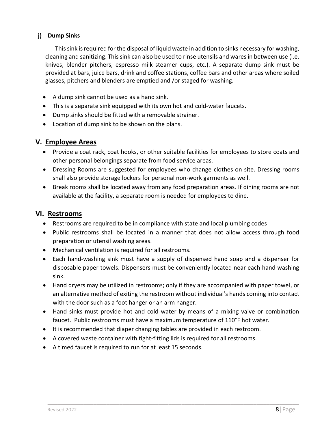## **j) Dump Sinks**

This sink is required for the disposal of liquid waste in addition to sinks necessary for washing, cleaning and sanitizing. This sink can also be used to rinse utensils and wares in between use (i.e. knives, blender pitchers, espresso milk steamer cups, etc.). A separate dump sink must be provided at bars, juice bars, drink and coffee stations, coffee bars and other areas where soiled glasses, pitchers and blenders are emptied and /or staged for washing.

- A dump sink cannot be used as a hand sink.
- This is a separate sink equipped with its own hot and cold-water faucets.
- Dump sinks should be fitted with a removable strainer.
- Location of dump sink to be shown on the plans.

## **V. Employee Areas**

- Provide a coat rack, coat hooks, or other suitable facilities for employees to store coats and other personal belongings separate from food service areas.
- Dressing Rooms are suggested for employees who change clothes on site. Dressing rooms shall also provide storage lockers for personal non-work garments as well.
- Break rooms shall be located away from any food preparation areas. If dining rooms are not available at the facility, a separate room is needed for employees to dine.

## **VI. Restrooms**

- Restrooms are required to be in compliance with state and local plumbing codes
- Public restrooms shall be located in a manner that does not allow access through food preparation or utensil washing areas.
- Mechanical ventilation is required for all restrooms.
- Each hand-washing sink must have a supply of dispensed hand soap and a dispenser for disposable paper towels. Dispensers must be conveniently located near each hand washing sink.
- Hand dryers may be utilized in restrooms; only if they are accompanied with paper towel, or an alternative method of exiting the restroom without individual's hands coming into contact with the door such as a foot hanger or an arm hanger.
- Hand sinks must provide hot and cold water by means of a mixing valve or combination faucet. Public restrooms must have a maximum temperature of 110°F hot water.

- It is recommended that diaper changing tables are provided in each restroom.
- A covered waste container with tight-fitting lids is required for all restrooms.
- A timed faucet is required to run for at least 15 seconds.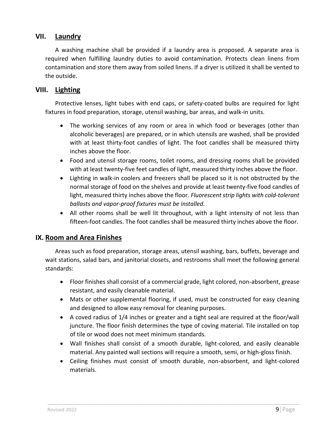## **VII. Laundry**

A washing machine shall be provided if a laundry area is proposed. A separate area is required when fulfilling laundry duties to avoid contamination. Protects clean linens from contamination and store them away from soiled linens. If a dryer is utilized it shall be vented to the outside.

## **VIII. Lighting**

Protective lenses, light tubes with end caps, or safety-coated bulbs are required for light fixtures in food preparation, storage, utensil washing, bar areas, and walk-in units.

- The working services of any room or area in which food or beverages (other than alcoholic beverages) are prepared, or in which utensils are washed, shall be provided with at least thirty-foot candles of light. The foot candles shall be measured thirty inches above the floor.
- Food and utensil storage rooms, toilet rooms, and dressing rooms shall be provided with at least twenty-five feet candles of light, measured thirty inches above the floor.
- Lighting in walk-in coolers and freezers shall be placed so it is not obstructed by the normal storage of food on the shelves and provide at least twenty-five food candles of light, measured thirty inches above the floor. *Fluorescent strip lights with cold-tolerant ballasts and vapor-proof fixtures must be installed.*
- All other rooms shall be well lit throughout, with a light intensity of not less than fifteen-foot candles. The foot candles shall be measured thirty inches above the floor.

## **IX. Room and Area Finishes**

Areas such as food preparation, storage areas, utensil washing, bars, buffets, beverage and wait stations, salad bars, and janitorial closets, and restrooms shall meet the following general standards:

- Floor finishes shall consist of a commercial grade, light colored, non-absorbent, grease resistant, and easily cleanable material.
- Mats or other supplemental flooring, if used, must be constructed for easy cleaning and designed to allow easy removal for cleaning purposes.
- A coved radius of 1/4 inches or greater and a tight seal are required at the floor/wall juncture. The floor finish determines the type of coving material. Tile installed on top of tile or wood does not meet minimum standards.
- Wall finishes shall consist of a smooth durable, light-colored, and easily cleanable material. Any painted wall sections will require a smooth, semi, or high-gloss finish.
- Ceiling finishes must consist of smooth durable, non-absorbent, and light-colored materials.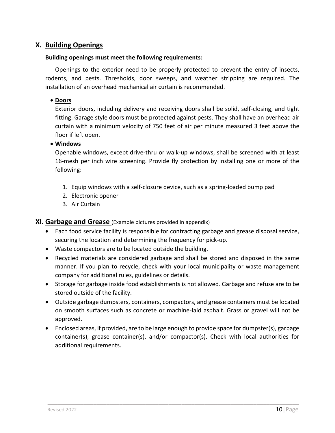## **X. Building Openings**

#### **Building openings must meet the following requirements:**

Openings to the exterior need to be properly protected to prevent the entry of insects, rodents, and pests. Thresholds, door sweeps, and weather stripping are required. The installation of an overhead mechanical air curtain is recommended.

## • **Doors**

Exterior doors, including delivery and receiving doors shall be solid, self-closing, and tight fitting. Garage style doors must be protected against pests. They shall have an overhead air curtain with a minimum velocity of 750 feet of air per minute measured 3 feet above the floor if left open.

## • **Windows**

Openable windows, except drive-thru or walk-up windows, shall be screened with at least 16-mesh per inch wire screening. Provide fly protection by installing one or more of the following:

- 1. Equip windows with a self-closure device, such as a spring-loaded bump pad
- 2. Electronic opener
- 3. Air Curtain

## **XI. Garbage and Grease** (Example pictures provided in appendix)

- Each food service facility is responsible for contracting garbage and grease disposal service, securing the location and determining the frequency for pick-up.
- Waste compactors are to be located outside the building.
- Recycled materials are considered garbage and shall be stored and disposed in the same manner. If you plan to recycle, check with your local municipality or waste management company for additional rules, guidelines or details.
- Storage for garbage inside food establishments is not allowed. Garbage and refuse are to be stored outside of the facility.
- Outside garbage dumpsters, containers, compactors, and grease containers must be located on smooth surfaces such as concrete or machine-laid asphalt. Grass or gravel will not be approved.
- Enclosed areas, if provided, are to be large enough to provide space for dumpster(s), garbage container(s), grease container(s), and/or compactor(s). Check with local authorities for additional requirements.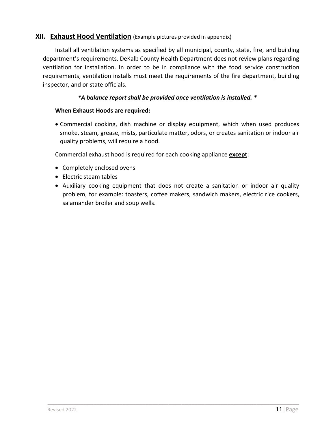## **XII. Exhaust Hood Ventilation** (Example pictures provided in appendix)

Install all ventilation systems as specified by all municipal, county, state, fire, and building department's requirements. DeKalb County Health Department does not review plans regarding ventilation for installation. In order to be in compliance with the food service construction requirements, ventilation installs must meet the requirements of the fire department, building inspector, and or state officials.

## *\*A balance report shall be provided once ventilation is installed. \**

#### **When Exhaust Hoods are required:**

• Commercial cooking, dish machine or display equipment, which when used produces smoke, steam, grease, mists, particulate matter, odors, or creates sanitation or indoor air quality problems, will require a hood.

Commercial exhaust hood is required for each cooking appliance **except**:

- Completely enclosed ovens
- Electric steam tables
- Auxiliary cooking equipment that does not create a sanitation or indoor air quality problem, for example: toasters, coffee makers, sandwich makers, electric rice cookers, salamander broiler and soup wells.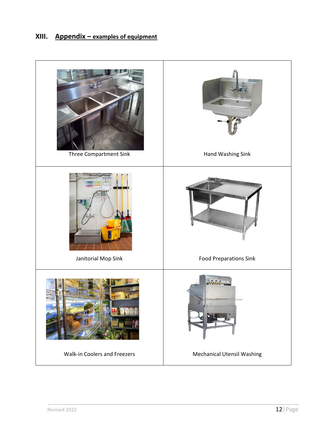